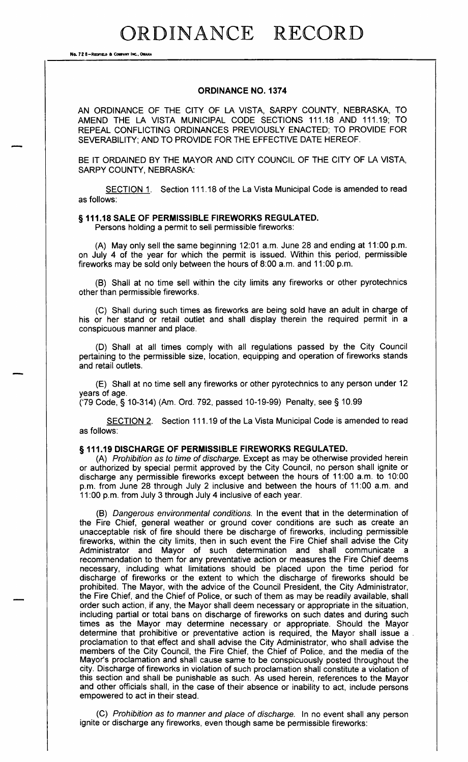## ORDINANCE RECORD

No. 72 8-REDFIELD & COMPANY INC., OMAHA

#### ORDINANCE NO. 1374

AN ORDINANCE OF THE CITY OF LA VISTA, SARPY COUNTY, NEBRASKA, TO AMEND THE LA VISTA MUNICIPAL CODE SECTIONS 111. 18 AND 111. 19; TO REPEAL CONFLICTING ORDINANCES PREVIOUSLY ENACTED; TO PROVIDE FOR SEVERABILITY; AND TO PROVIDE FOR THE EFFECTIVE DATE HEREOF.

BE IT ORDAINED BY THE MAYOR AND CITY COUNCIL OF THE CITY OF LA VISTA, SARPY COUNTY, NEBRASKA:

SECTION 1. Section 111.18 of the La Vista Municipal Code is amended to read as follows:

#### § 111.18 SALE OF PERMISSIBLE FIREWORKS REGULATED.

Persons holding a permit to sell permissible fireworks:

(A) May only sell the same beginning  $12:01$  a.m. June 28 and ending at  $11:00$  p.m. on July <sup>4</sup> of the year for which the permit is issued. Within this period, permissible fireworks may be sold only between the hours of 8:00 a.m. and 11:00 p.m.

B) Shall at no time sell within the city limits any fireworks or other pyrotechnics other than permissible fireworks.

C) Shall during such times as fireworks are being sold have an adult in charge of his or her stand or retail outlet and shall display therein the required permit in a conspicuous manner and place.

D) Shall at all times comply with all regulations passed by the City Council pertaining to the permissible size, location, equipping and operation of fireworks stands and retail outlets.

E) Shall at no time sell any fireworks or other pyrotechnics to any person under 12 years of age.

('79 Code, § 10-314) (Am. Ord. 792, passed 10-19-99) Penalty, see § 10.99

SECTION 2. Section 111. 19 of the La Vista Municipal Code is amended to read as follows:

## § 111.19 DISCHARGE OF PERMISSIBLE FIREWORKS REGULATED.

A) Prohibition as to time of discharge. Except as may be otherwise provided herein or authorized by special permit approved by the City Council, no person shall ignite or discharge any permissible fireworks except between the hours of 11: 00 a. m. to 10: 00 p.m. from June 28 through July 2 inclusive and between the hours of 11:00 a.m. and 11: 00 p. m. from July 3 through July 4 inclusive of each year.

B) Dangerous environmental conditions. In the event that in the determination of the Fire Chief, general weather or ground cover conditions are such as create an unacceptable risk of fire should there be discharge of fireworks, including permissible fireworks, within the city limits, then in such event the Fire Chief shall advise the City Administrator and Mayor of such determination and shall communicate a recommendation to them for any preventative action or measures the Fire Chief deems necessary, including what limitations should be placed upon the time period for discharge of fireworks or the extent to which the discharge of fireworks should be prohibited. The Mayor, with the advice of the Council President, the City Administrator, the Fire Chief, and the Chief of Police, or such of them as may be readily available, shall order such action, if any, the Mayor shall deem necessary or appropriate in the situation, including partial or total bans on discharge of fireworks on such dates and during such times as the Mayor may determine necessary or appropriate. Should the Mayor determine that prohibitive or preventative action is required, the Mayor shall issue a proclamation to that effect and shall advise the City Administrator, who shall advise the members of the City Council, the Fire Chief, the Chief of Police, and the media of the Mayor's proclamation and shall cause same to be conspicuously posted throughout the city. Discharge of fireworks in violation of such proclamation shall constitute a violation of this section and shall be punishable as such. As used herein, references to the Mayor and other officials shall, in the case of their absence or inability to act, include persons empowered to act in their stead.

C) Prohibition as to manner and place of discharge. In no event shall any person ignite or discharge any fireworks, even though same be permissible fireworks: